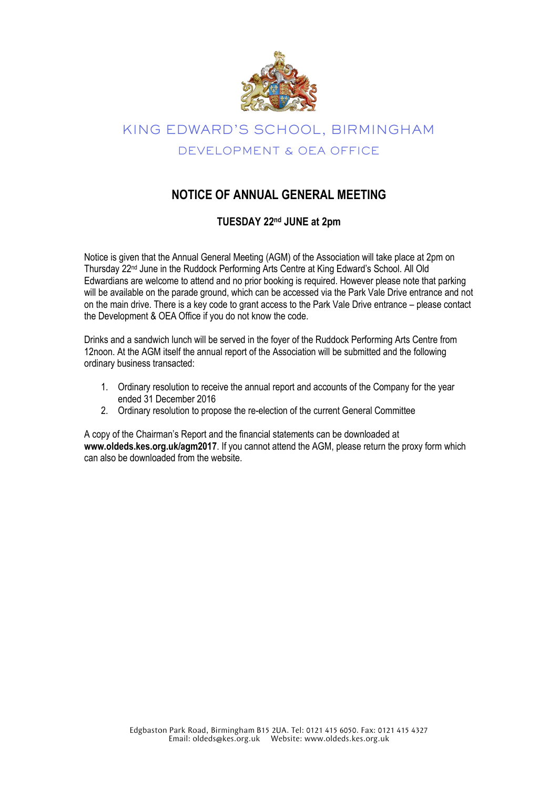

# KING EDWARD'S SCHOOL, BIRMINGHAM DEVELOPMENT & OEA OFFICE

### **NOTICE OF ANNUAL GENERAL MEETING**

#### **TUESDAY 22 nd JUNE at 2pm**

Notice is given that the Annual General Meeting (AGM) of the Association will take place at 2pm on Thursday 22<sup>nd</sup> June in the Ruddock Performing Arts Centre at King Edward's School. All Old Edwardians are welcome to attend and no prior booking is required. However please note that parking will be available on the parade ground, which can be accessed via the Park Vale Drive entrance and not on the main drive. There is a key code to grant access to the Park Vale Drive entrance – please contact the Development & OEA Office if you do not know the code.

Drinks and a sandwich lunch will be served in the foyer of the Ruddock Performing Arts Centre from 12noon. At the AGM itself the annual report of the Association will be submitted and the following ordinary business transacted:

- 1. Ordinary resolution to receive the annual report and accounts of the Company for the year ended 31 December 2016
- 2. Ordinary resolution to propose the re-election of the current General Committee

A copy of the Chairman's Report and the financial statements can be downloaded at **www.oldeds.kes.org.uk/agm2017**. If you cannot attend the AGM, please return the proxy form which can also be downloaded from the website.